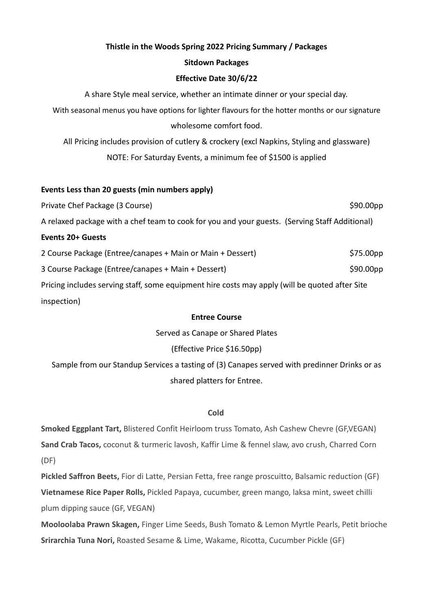# **Thistle in the Woods Spring 2022 Pricing Summary / Packages**

### **Sitdown Packages**

## **Effective Date 30/6/22**

A share Style meal service, whether an intimate dinner or your special day.

With seasonal menus you have options for lighter flavours for the hotter months or our signature wholesome comfort food.

All Pricing includes provision of cutlery & crockery (excl Napkins, Styling and glassware) NOTE: For Saturday Events, a minimum fee of \$1500 is applied

## **Events Less than 20 guests (min numbers apply)**

Private Chef Package (3 Course)  $\sim$  800.000pp \$90.00pp \$90.00pp \$90.00pp \$90.00pp \$90.00pp \$90.00pp \$90.00pp \$90.00pp \$90.00pp \$90.00pp \$90.00pp \$90.00pp \$90.00pp \$90.00pp \$90.00pp \$90.00pp \$90.00pp \$90.00pp \$90.00pp \$80. A relaxed package with a chef team to cook for you and your guests. (Serving Staff Additional) **Events 20+ Guests** 2 Course Package (Entree/canapes + Main or Main + Dessert) \$75.00pp \$75.00pp 3 Course Package (Entree/canapes + Main + Dessert) \$90.00pp \$90.00pp Pricing includes serving staff, some equipment hire costs may apply (will be quoted after Site inspection)

### **Entree Course**

Served as Canape or Shared Plates

# (Effective Price \$16.50pp)

Sample from our Standup Services a tasting of (3) Canapes served with predinner Drinks or as shared platters for Entree.

# **Cold**

**Smoked Eggplant Tart,** Blistered Confit Heirloom truss Tomato, Ash Cashew Chevre (GF,VEGAN) **Sand Crab Tacos,** coconut & turmeric lavosh, Kaffir Lime & fennel slaw, avo crush, Charred Corn (DF)

**Pickled Saffron Beets,** Fior di Latte, Persian Fetta, free range proscuitto, Balsamic reduction (GF) **Vietnamese Rice Paper Rolls,** Pickled Papaya, cucumber, green mango, laksa mint, sweet chilli plum dipping sauce (GF, VEGAN)

**Mooloolaba Prawn Skagen,** Finger Lime Seeds, Bush Tomato & Lemon Myrtle Pearls, Petit brioche **Srirarchia Tuna Nori,** Roasted Sesame & Lime, Wakame, Ricotta, Cucumber Pickle (GF)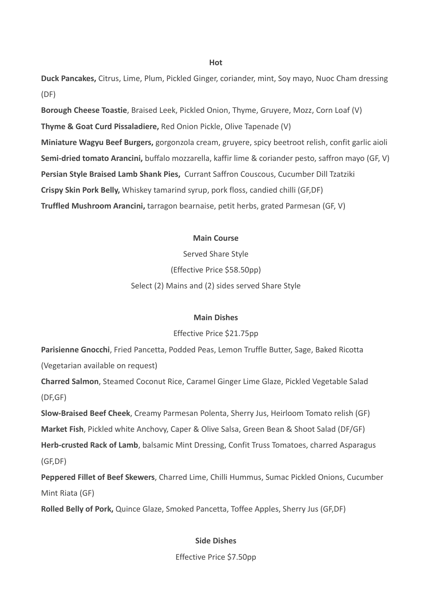#### **Hot**

**Duck Pancakes,** Citrus, Lime, Plum, Pickled Ginger, coriander, mint, Soy mayo, Nuoc Cham dressing (DF)

**Borough Cheese Toastie**, Braised Leek, Pickled Onion, Thyme, Gruyere, Mozz, Corn Loaf (V) **Thyme & Goat Curd Pissaladiere,** Red Onion Pickle, Olive Tapenade (V) **Miniature Wagyu Beef Burgers,** gorgonzola cream, gruyere, spicy beetroot relish, confit garlic aioli **Semi-dried tomato Arancini,** buffalo mozzarella, kaffir lime & coriander pesto, saffron mayo (GF, V) **Persian Style Braised Lamb Shank Pies,** Currant Saffron Couscous, Cucumber Dill Tzatziki **Crispy Skin Pork Belly,** Whiskey tamarind syrup, pork floss, candied chilli (GF,DF) **Truffled Mushroom Arancini,** tarragon bearnaise, petit herbs, grated Parmesan (GF, V)

#### **Main Course**

Served Share Style (Effective Price \$58.50pp) Select (2) Mains and (2) sides served Share Style

#### **Main Dishes**

#### Effective Price \$21.75pp

**Parisienne Gnocchi**, Fried Pancetta, Podded Peas, Lemon Truffle Butter, Sage, Baked Ricotta (Vegetarian available on request)

**Charred Salmon**, Steamed Coconut Rice, Caramel Ginger Lime Glaze, Pickled Vegetable Salad (DF,GF)

**Slow-Braised Beef Cheek**, Creamy Parmesan Polenta, Sherry Jus, Heirloom Tomato relish (GF) **Market Fish**, Pickled white Anchovy, Caper & Olive Salsa, Green Bean & Shoot Salad (DF/GF) **Herb-crusted Rack of Lamb**, balsamic Mint Dressing, Confit Truss Tomatoes, charred Asparagus (GF,DF)

**Peppered Fillet of Beef Skewers**, Charred Lime, Chilli Hummus, Sumac Pickled Onions, Cucumber Mint Riata (GF)

**Rolled Belly of Pork,** Quince Glaze, Smoked Pancetta, Toffee Apples, Sherry Jus (GF,DF)

### **Side Dishes**

Effective Price \$7.50pp